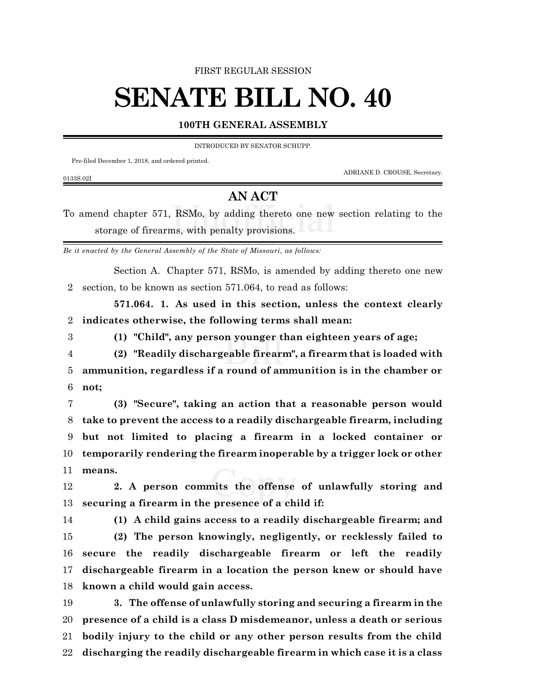FIRST REGULAR SESSION

## **SENATE BILL NO. 40**

## **100TH GENERAL ASSEMBLY**

INTRODUCED BY SENATOR SCHUPP.

Pre-filed December 1, 2018, and ordered printed.

0133S.02I

ADRIANE D. CROUSE, Secretary.

## **AN ACT**

To amend chapter 571, RSMo, by adding thereto one new section relating to the storage of firearms, with penalty provisions.

*Be it enacted by the General Assembly of the State of Missouri, as follows:*

Section A. Chapter 571, RSMo, is amended by adding thereto one new section, to be known as section 571.064, to read as follows:

**571.064. 1. As used in this section, unless the context clearly indicates otherwise, the following terms shall mean:**

**(1) "Child", any person younger than eighteen years of age;**

 **(2) "Readily dischargeable firearm", a firearm that is loaded with ammunition, regardless if a round of ammunition is in the chamber or not;**

 **(3) "Secure", taking an action that a reasonable person would take to prevent the access to a readily dischargeable firearm, including but not limited to placing a firearm in a locked container or temporarily rendering the firearm inoperable by a trigger lock or other means.**

 **2. A person commits the offense of unlawfully storing and securing a firearm in the presence of a child if:**

**(1) A child gains access to a readily dischargeable firearm; and**

 **(2) The person knowingly, negligently, or recklessly failed to secure the readily dischargeable firearm or left the readily dischargeable firearm in a location the person knew or should have known a child would gain access.**

 **3. The offense of unlawfully storing and securing a firearm in the presence of a child is a class D misdemeanor, unless a death or serious bodily injury to the child or any other person results from the child discharging the readily dischargeable firearm in which case it is a class**